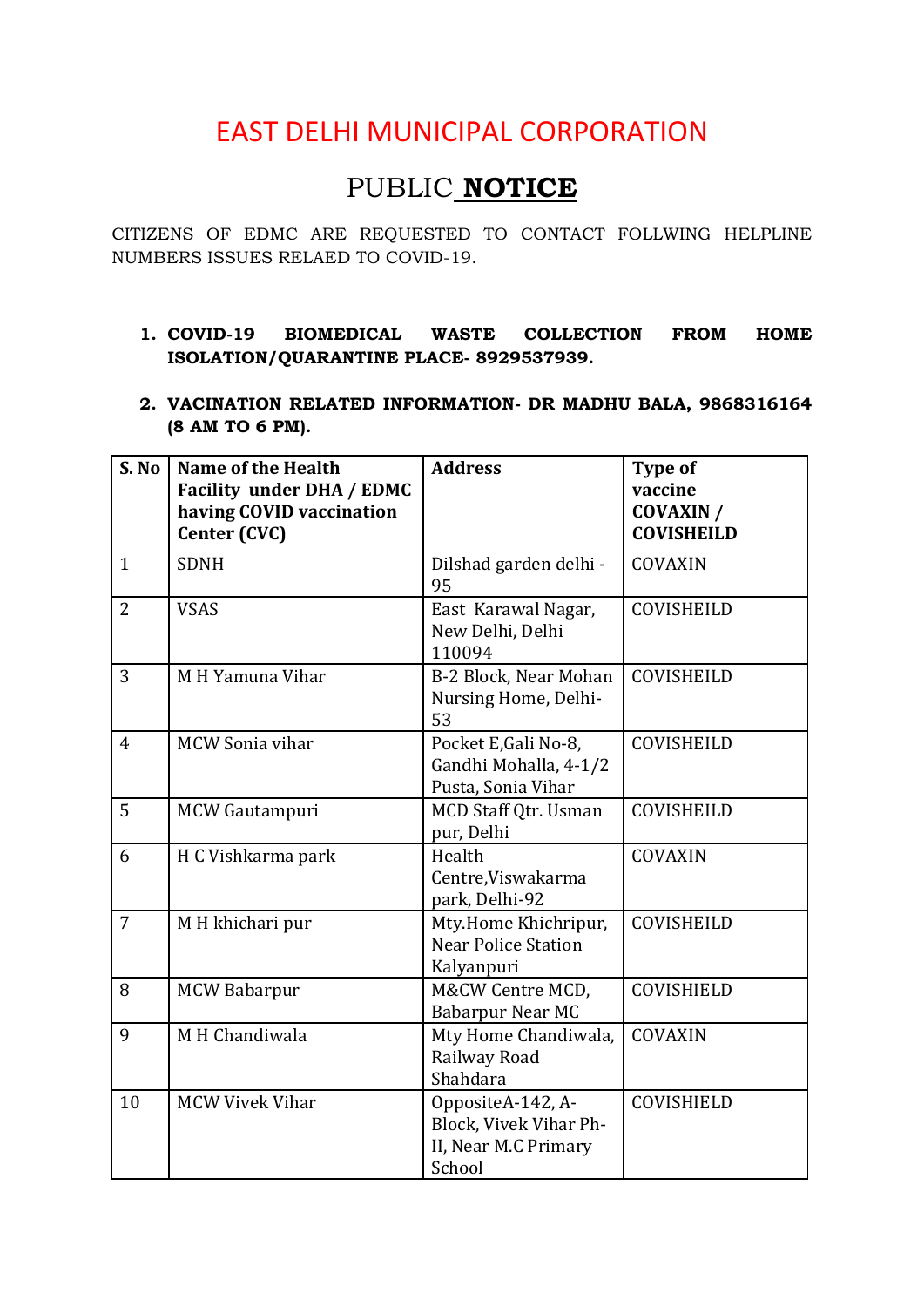# EAST DELHI MUNICIPAL CORPORATION

# PUBLIC **NOTICE**

CITIZENS OF EDMC ARE REQUESTED TO CONTACT FOLLWING HELPLINE NUMBERS ISSUES RELAED TO COVID-19.

### **1. COVID-19 BIOMEDICAL WASTE COLLECTION FROM HOME ISOLATION/QUARANTINE PLACE- 8929537939.**

**2. VACINATION RELATED INFORMATION- DR MADHU BALA, 9868316164 (8 AM TO 6 PM).**

| S. No          | <b>Name of the Health</b><br><b>Facility under DHA / EDMC</b><br>having COVID vaccination<br>Center (CVC) | <b>Address</b>                                                                | Type of<br>vaccine<br><b>COVAXIN /</b><br><b>COVISHEILD</b> |
|----------------|-----------------------------------------------------------------------------------------------------------|-------------------------------------------------------------------------------|-------------------------------------------------------------|
| $\mathbf{1}$   | <b>SDNH</b>                                                                                               | Dilshad garden delhi -<br>95                                                  | COVAXIN                                                     |
| $\overline{2}$ | <b>VSAS</b>                                                                                               | East Karawal Nagar,<br>New Delhi, Delhi<br>110094                             | COVISHEILD                                                  |
| 3              | M H Yamuna Vihar                                                                                          | B-2 Block, Near Mohan<br>Nursing Home, Delhi-<br>53                           | COVISHEILD                                                  |
| $\overline{4}$ | <b>MCW Sonia vihar</b>                                                                                    | Pocket E, Gali No-8,<br>Gandhi Mohalla, 4-1/2<br>Pusta, Sonia Vihar           | COVISHEILD                                                  |
| 5              | MCW Gautampuri                                                                                            | MCD Staff Qtr. Usman<br>pur, Delhi                                            | COVISHEILD                                                  |
| 6              | H C Vishkarma park                                                                                        | Health<br>Centre, Viswakarma<br>park, Delhi-92                                | COVAXIN                                                     |
| $\overline{7}$ | M H khichari pur                                                                                          | Mty.Home Khichripur,<br><b>Near Police Station</b><br>Kalyanpuri              | COVISHEILD                                                  |
| 8              | <b>MCW Babarpur</b>                                                                                       | M&CW Centre MCD,<br>Babarpur Near MC                                          | COVISHIELD                                                  |
| 9              | M H Chandiwala                                                                                            | Mty Home Chandiwala,<br>Railway Road<br>Shahdara                              | COVAXIN                                                     |
| 10             | <b>MCW Vivek Vihar</b>                                                                                    | OppositeA-142, A-<br>Block, Vivek Vihar Ph-<br>II, Near M.C Primary<br>School | COVISHIELD                                                  |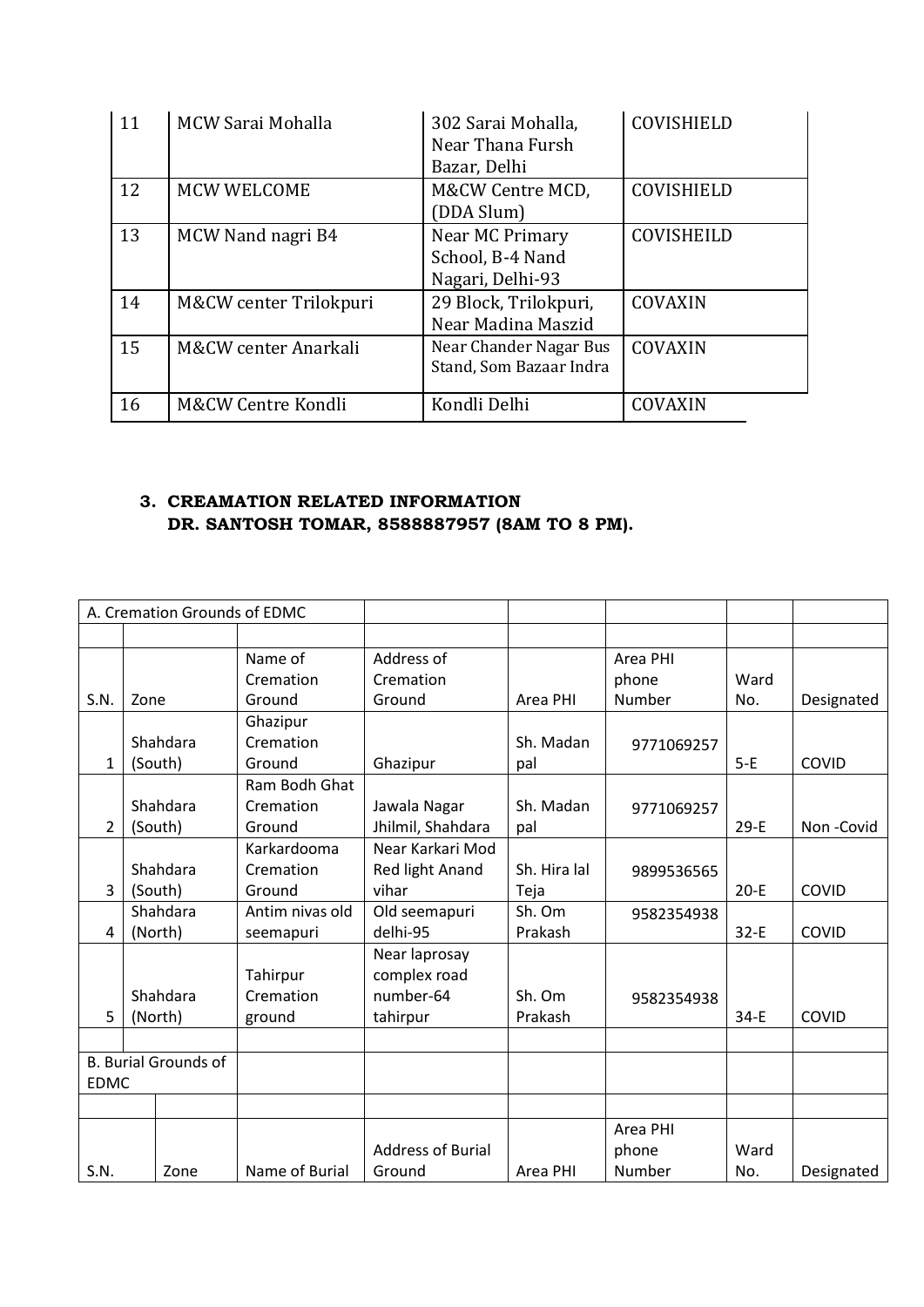| 11 | MCW Sarai Mohalla      | 302 Sarai Mohalla,<br>Near Thana Fursh<br>Bazar, Delhi  | COVISHIELD        |
|----|------------------------|---------------------------------------------------------|-------------------|
| 12 | <b>MCW WELCOME</b>     | M&CW Centre MCD,<br>(DDA Slum)                          | <b>COVISHIELD</b> |
| 13 | MCW Nand nagri B4      | Near MC Primary<br>School, B-4 Nand<br>Nagari, Delhi-93 | COVISHEILD        |
| 14 | M&CW center Trilokpuri | 29 Block, Trilokpuri,<br>Near Madina Maszid             | COVAXIN           |
| 15 | M&CW center Anarkali   | Near Chander Nagar Bus<br>Stand, Som Bazaar Indra       | COVAXIN           |
| 16 | M&CW Centre Kondli     | Kondli Delhi                                            | COVAXIN           |

## **3. CREAMATION RELATED INFORMATION DR. SANTOSH TOMAR, 8588887957 (8AM TO 8 PM).**

| A. Cremation Grounds of EDMC |                             |                 |                          |              |            |        |            |
|------------------------------|-----------------------------|-----------------|--------------------------|--------------|------------|--------|------------|
|                              |                             |                 |                          |              |            |        |            |
|                              |                             | Name of         | Address of               |              | Area PHI   |        |            |
|                              |                             | Cremation       | Cremation                |              | phone      | Ward   |            |
| S.N.                         | Zone                        | Ground          | Ground                   | Area PHI     | Number     | No.    | Designated |
|                              |                             | Ghazipur        |                          |              |            |        |            |
|                              | Shahdara                    | Cremation       |                          | Sh. Madan    | 9771069257 |        |            |
| $\mathbf{1}$                 | (South)                     | Ground          | Ghazipur                 | pal          |            | $5-E$  | COVID      |
|                              |                             | Ram Bodh Ghat   |                          |              |            |        |            |
|                              | Shahdara                    | Cremation       | Jawala Nagar             | Sh. Madan    | 9771069257 |        |            |
| $\overline{2}$               | (South)                     | Ground          | Jhilmil, Shahdara        | pal          |            | $29-E$ | Non-Covid  |
|                              |                             | Karkardooma     | Near Karkari Mod         |              |            |        |            |
|                              | Shahdara                    | Cremation       | Red light Anand          | Sh. Hira lal | 9899536565 |        |            |
| 3                            | (South)                     | Ground          | vihar                    | Teja         |            | $20-E$ | COVID      |
|                              | Shahdara                    | Antim nivas old | Old seemapuri            | Sh. Om       | 9582354938 |        |            |
| 4                            | (North)                     | seemapuri       | delhi-95                 | Prakash      |            | $32-E$ | COVID      |
|                              |                             |                 | Near laprosay            |              |            |        |            |
|                              |                             | Tahirpur        | complex road             |              |            |        |            |
|                              | Shahdara                    | Cremation       | number-64                | Sh. Om       | 9582354938 |        |            |
| 5                            | (North)                     | ground          | tahirpur                 | Prakash      |            | $34-E$ | COVID      |
|                              |                             |                 |                          |              |            |        |            |
|                              | <b>B. Burial Grounds of</b> |                 |                          |              |            |        |            |
| <b>EDMC</b>                  |                             |                 |                          |              |            |        |            |
|                              |                             |                 |                          |              |            |        |            |
|                              |                             |                 |                          |              | Area PHI   |        |            |
|                              |                             |                 | <b>Address of Burial</b> |              | phone      | Ward   |            |
| S.N.                         | Zone                        | Name of Burial  | Ground                   | Area PHI     | Number     | No.    | Designated |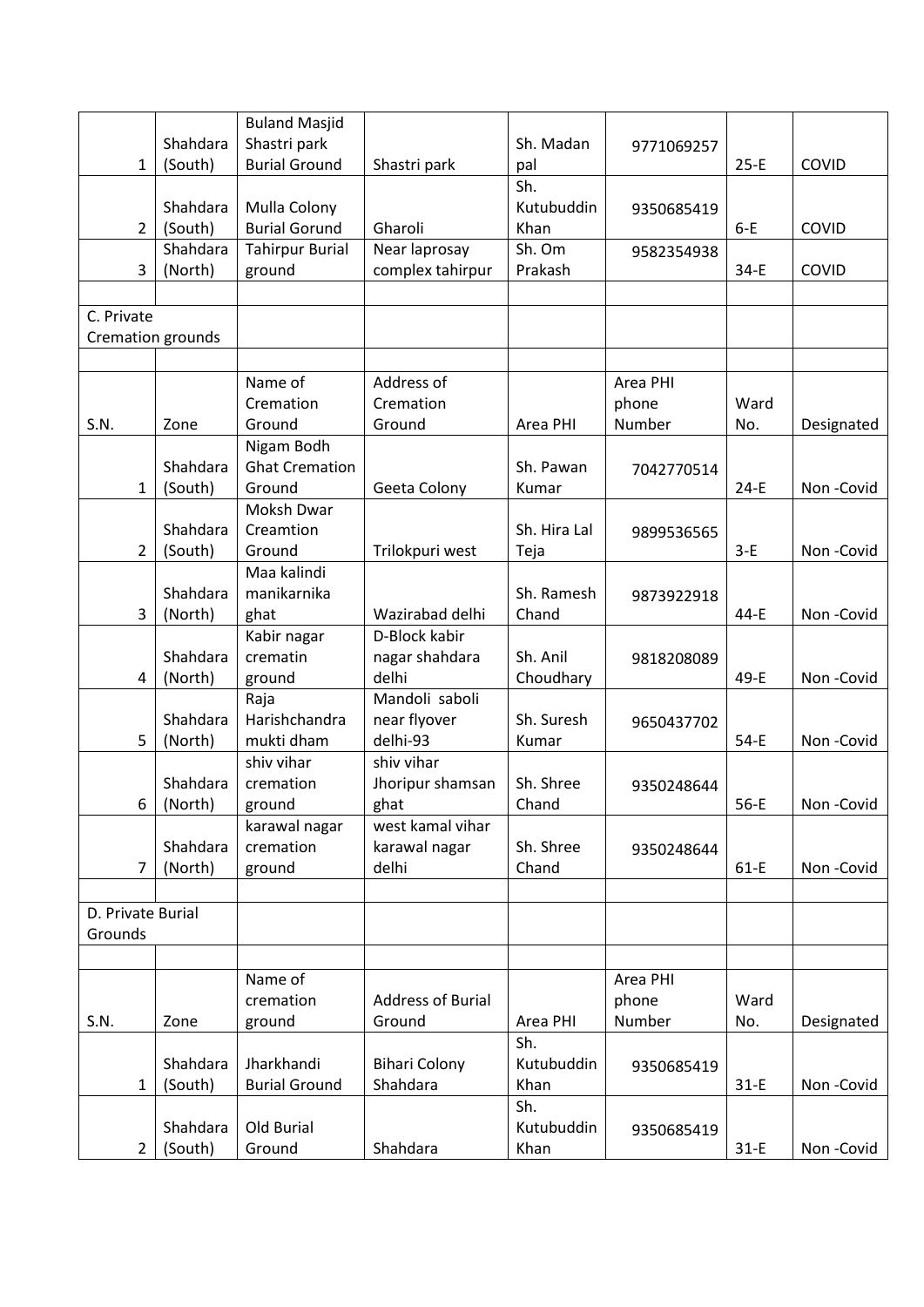|                   |          | <b>Buland Masjid</b>   |                          |              |            |        |            |
|-------------------|----------|------------------------|--------------------------|--------------|------------|--------|------------|
|                   | Shahdara | Shastri park           |                          | Sh. Madan    | 9771069257 |        |            |
| $\mathbf{1}$      | (South)  | <b>Burial Ground</b>   | Shastri park             | pal          |            | $25-E$ | COVID      |
|                   |          |                        |                          | Sh.          |            |        |            |
|                   | Shahdara | Mulla Colony           |                          | Kutubuddin   | 9350685419 |        |            |
| $\overline{2}$    | (South)  | <b>Burial Gorund</b>   | Gharoli                  | Khan         |            | $6-E$  | COVID      |
|                   | Shahdara | <b>Tahirpur Burial</b> | Near laprosay            | Sh. Om       | 9582354938 |        |            |
| 3                 | (North)  | ground                 | complex tahirpur         | Prakash      |            | $34-E$ | COVID      |
|                   |          |                        |                          |              |            |        |            |
| C. Private        |          |                        |                          |              |            |        |            |
| Cremation grounds |          |                        |                          |              |            |        |            |
|                   |          |                        |                          |              |            |        |            |
|                   |          | Name of                | Address of               |              | Area PHI   |        |            |
|                   |          | Cremation              | Cremation                |              | phone      | Ward   |            |
| S.N.              | Zone     | Ground                 | Ground                   | Area PHI     | Number     | No.    | Designated |
|                   |          | Nigam Bodh             |                          |              |            |        |            |
|                   | Shahdara | <b>Ghat Cremation</b>  |                          | Sh. Pawan    | 7042770514 |        |            |
| $\mathbf{1}$      | (South)  | Ground                 | Geeta Colony             | Kumar        |            | $24-E$ | Non-Covid  |
|                   |          | Moksh Dwar             |                          |              |            |        |            |
|                   | Shahdara | Creamtion              |                          | Sh. Hira Lal | 9899536565 |        |            |
| $\overline{2}$    | (South)  | Ground                 | Trilokpuri west          | Teja         |            | $3-E$  | Non-Covid  |
|                   |          | Maa kalindi            |                          |              |            |        |            |
|                   | Shahdara | manikarnika            |                          | Sh. Ramesh   | 9873922918 |        |            |
| 3                 | (North)  | ghat                   | Wazirabad delhi          | Chand        |            | 44-E   | Non-Covid  |
|                   |          | Kabir nagar            | D-Block kabir            |              |            |        |            |
|                   | Shahdara | crematin               | nagar shahdara           | Sh. Anil     | 9818208089 |        |            |
| 4                 | (North)  | ground                 | delhi                    | Choudhary    |            | 49-E   | Non-Covid  |
|                   |          | Raja                   | Mandoli saboli           |              |            |        |            |
|                   | Shahdara | Harishchandra          | near flyover             | Sh. Suresh   | 9650437702 |        |            |
| 5                 | (North)  | mukti dham             | delhi-93                 | Kumar        |            | $54-E$ | Non-Covid  |
|                   |          | shiv vihar             | shiv vihar               |              |            |        |            |
|                   | Shahdara | cremation              | Jhoripur shamsan         | Sh. Shree    | 9350248644 |        |            |
| 6                 | (North)  | ground                 | ghat                     | Chand        |            | $56-E$ | Non-Covid  |
|                   |          | karawal nagar          | west kamal vihar         |              |            |        |            |
|                   | Shahdara | cremation              | karawal nagar            | Sh. Shree    | 9350248644 |        |            |
| 7                 | (North)  | ground                 | delhi                    | Chand        |            | $61-E$ | Non-Covid  |
|                   |          |                        |                          |              |            |        |            |
| D. Private Burial |          |                        |                          |              |            |        |            |
| Grounds           |          |                        |                          |              |            |        |            |
|                   |          |                        |                          |              |            |        |            |
|                   |          | Name of                |                          |              | Area PHI   |        |            |
|                   |          | cremation              | <b>Address of Burial</b> |              | phone      | Ward   |            |
| S.N.              | Zone     | ground                 | Ground                   | Area PHI     | Number     | No.    | Designated |
|                   |          |                        |                          | Sh.          |            |        |            |
|                   | Shahdara | Jharkhandi             | <b>Bihari Colony</b>     | Kutubuddin   | 9350685419 |        |            |
| $\mathbf{1}$      | (South)  | <b>Burial Ground</b>   | Shahdara                 | Khan         |            | $31-E$ | Non-Covid  |
|                   |          |                        |                          | Sh.          |            |        |            |
|                   | Shahdara | Old Burial             |                          | Kutubuddin   | 9350685419 |        |            |
| $\overline{2}$    | (South)  | Ground                 | Shahdara                 | Khan         |            | $31-E$ | Non-Covid  |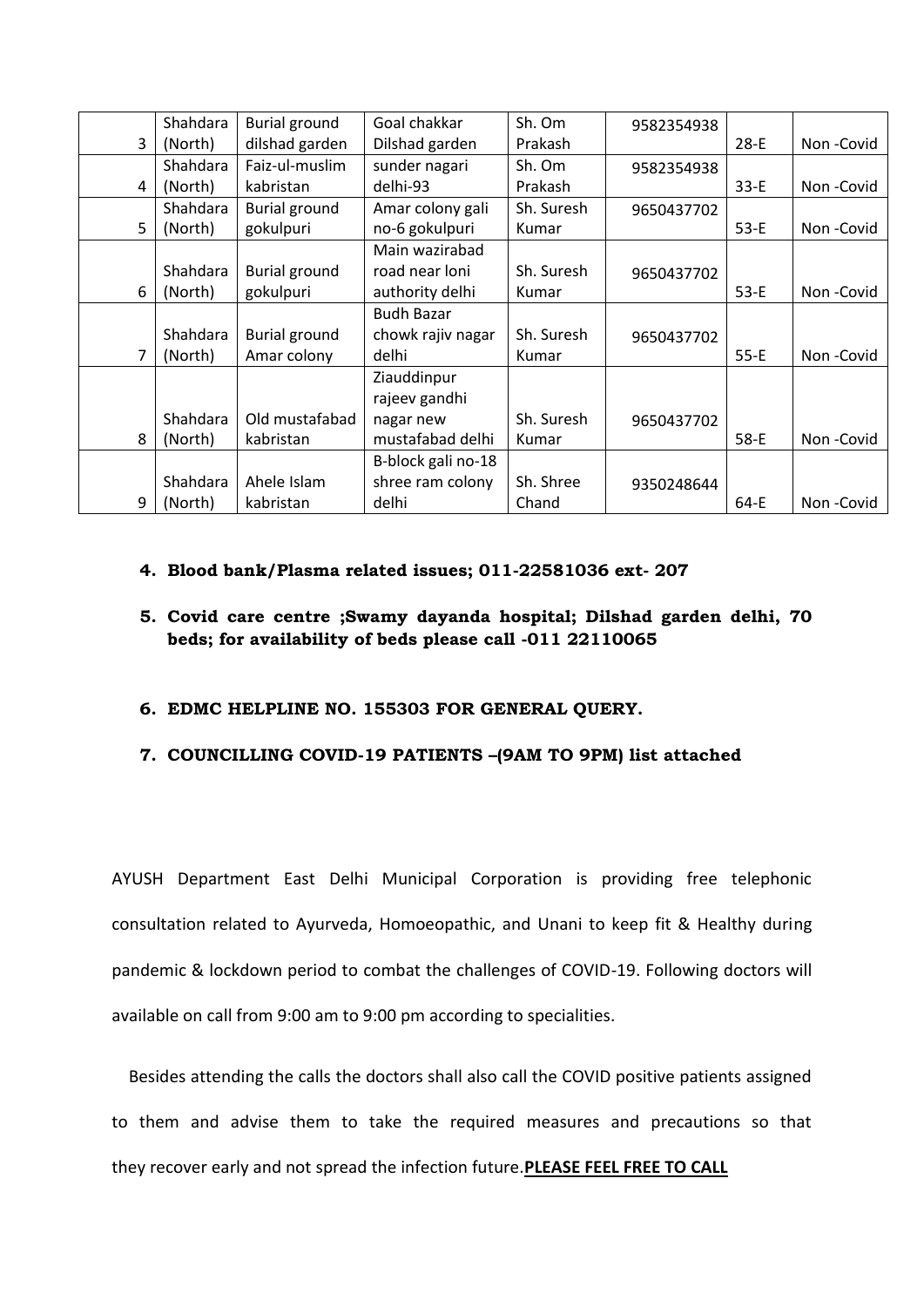|   | Shahdara | <b>Burial ground</b> | Goal chakkar       | Sh. Om     | 9582354938 |        |           |
|---|----------|----------------------|--------------------|------------|------------|--------|-----------|
| 3 | (North)  | dilshad garden       | Dilshad garden     | Prakash    |            | $28-E$ | Non-Covid |
|   | Shahdara | Faiz-ul-muslim       | sunder nagari      | Sh. Om     | 9582354938 |        |           |
| 4 | (North)  | kabristan            | delhi-93           | Prakash    |            | $33-E$ | Non-Covid |
|   | Shahdara | <b>Burial ground</b> | Amar colony gali   | Sh. Suresh | 9650437702 |        |           |
| 5 | (North)  | gokulpuri            | no-6 gokulpuri     | Kumar      |            | $53-E$ | Non-Covid |
|   |          |                      | Main wazirabad     |            |            |        |           |
|   | Shahdara | <b>Burial ground</b> | road near loni     | Sh. Suresh | 9650437702 |        |           |
| 6 | (North)  | gokulpuri            | authority delhi    | Kumar      |            | $53-E$ | Non-Covid |
|   |          |                      | <b>Budh Bazar</b>  |            |            |        |           |
|   | Shahdara | <b>Burial ground</b> | chowk rajiv nagar  | Sh. Suresh | 9650437702 |        |           |
| 7 | (North)  | Amar colony          | delhi              | Kumar      |            | $55-E$ | Non-Covid |
|   |          |                      | Ziauddinpur        |            |            |        |           |
|   |          |                      | rajeev gandhi      |            |            |        |           |
|   | Shahdara | Old mustafabad       | nagar new          | Sh. Suresh | 9650437702 |        |           |
| 8 | (North)  | kabristan            | mustafabad delhi   | Kumar      |            | 58-E   | Non-Covid |
|   |          |                      | B-block gali no-18 |            |            |        |           |
|   | Shahdara | Ahele Islam          | shree ram colony   | Sh. Shree  | 9350248644 |        |           |
| 9 | (North)  | kabristan            | delhi              | Chand      |            | 64-E   | Non-Covid |

#### **4. Blood bank/Plasma related issues; 011-22581036 ext- 207**

### **5. Covid care centre ;Swamy dayanda hospital; Dilshad garden delhi, 70 beds; for availability of beds please call -011 22110065**

#### **6. EDMC HELPLINE NO. 155303 FOR GENERAL QUERY.**

#### **7. COUNCILLING COVID-19 PATIENTS –(9AM TO 9PM) list attached**

AYUSH Department East Delhi Municipal Corporation is providing free telephonic consultation related to Ayurveda, Homoeopathic, and Unani to keep fit & Healthy during pandemic & lockdown period to combat the challenges of COVID-19. Following doctors will available on call from 9:00 am to 9:00 pm according to specialities.

 Besides attending the calls the doctors shall also call the COVID positive patients assigned to them and advise them to take the required measures and precautions so that they recover early and not spread the infection future.**PLEASE FEEL FREE TO CALL**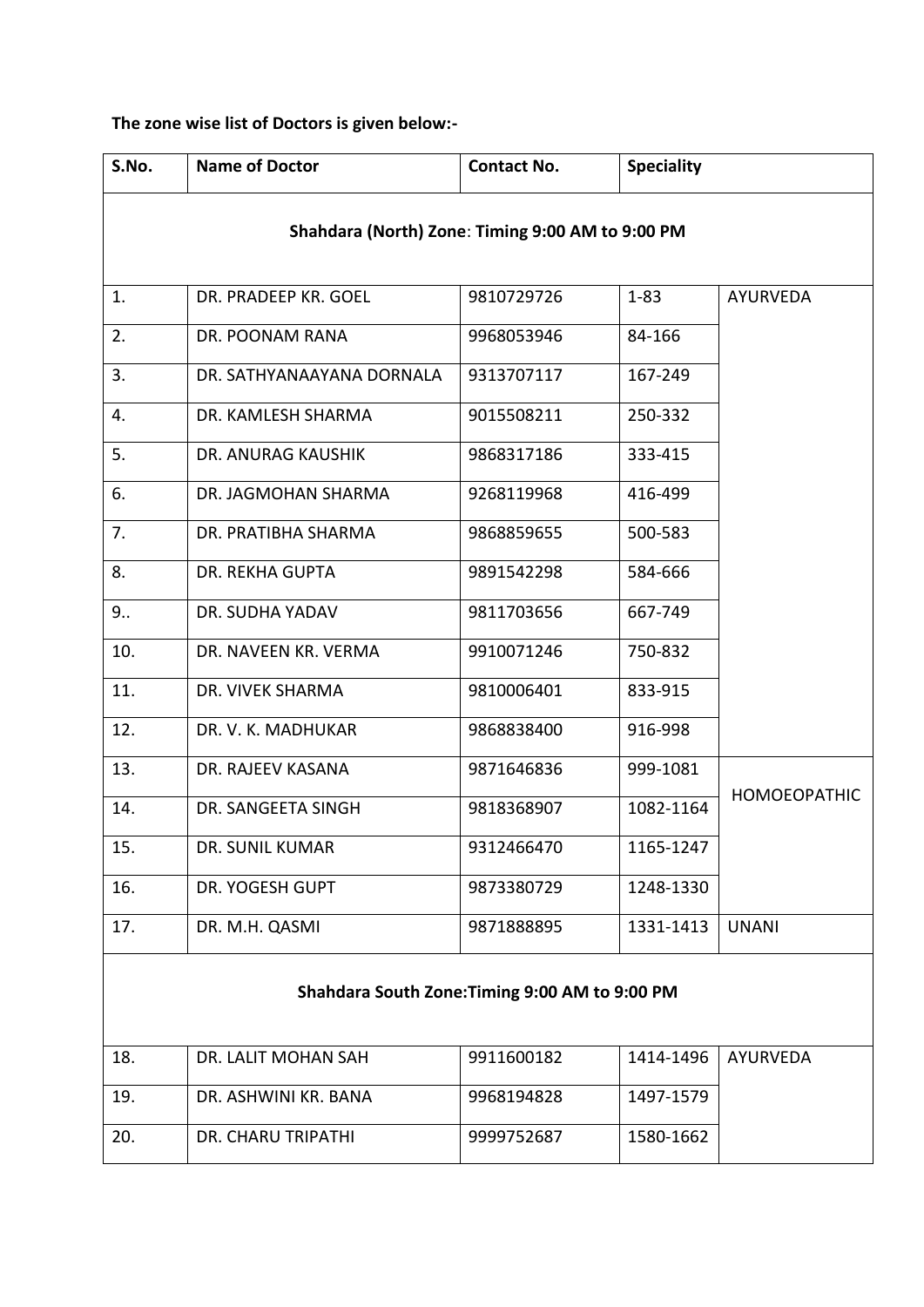**The zone wise list of Doctors is given below:-**

| S.No.                                            | <b>Name of Doctor</b>     | <b>Contact No.</b> | <b>Speciality</b> |                     |  |  |  |
|--------------------------------------------------|---------------------------|--------------------|-------------------|---------------------|--|--|--|
| Shahdara (North) Zone: Timing 9:00 AM to 9:00 PM |                           |                    |                   |                     |  |  |  |
| 1.                                               | DR. PRADEEP KR. GOEL      | 9810729726         | $1 - 83$          | <b>AYURVEDA</b>     |  |  |  |
| 2.                                               | DR. POONAM RANA           | 9968053946         | 84-166            |                     |  |  |  |
| 3.                                               | DR. SATHYANAAYANA DORNALA | 9313707117         | 167-249           |                     |  |  |  |
| 4.                                               | DR. KAMLESH SHARMA        | 9015508211         | 250-332           |                     |  |  |  |
| 5.                                               | DR. ANURAG KAUSHIK        | 9868317186         | 333-415           |                     |  |  |  |
| 6.                                               | DR. JAGMOHAN SHARMA       | 9268119968         | 416-499           |                     |  |  |  |
| 7.                                               | DR. PRATIBHA SHARMA       | 9868859655         | 500-583           |                     |  |  |  |
| 8.                                               | DR. REKHA GUPTA           | 9891542298         | 584-666           |                     |  |  |  |
| 9.5                                              | DR. SUDHA YADAV           | 9811703656         | 667-749           |                     |  |  |  |
| 10.                                              | DR. NAVEEN KR. VERMA      | 9910071246         | 750-832           |                     |  |  |  |
| 11.                                              | DR. VIVEK SHARMA          | 9810006401         | 833-915           |                     |  |  |  |
| 12.                                              | DR. V. K. MADHUKAR        | 9868838400         | 916-998           |                     |  |  |  |
| 13.                                              | DR. RAJEEV KASANA         | 9871646836         | 999-1081          |                     |  |  |  |
| 14.                                              | DR. SANGEETA SINGH        | 9818368907         | 1082-1164         | <b>HOMOEOPATHIC</b> |  |  |  |
| 15.                                              | DR. SUNIL KUMAR           | 9312466470         | 1165-1247         |                     |  |  |  |
| 16.                                              | DR. YOGESH GUPT           | 9873380729         | 1248-1330         |                     |  |  |  |
| 17.                                              | DR. M.H. QASMI            | 9871888895         | 1331-1413         | <b>UNANI</b>        |  |  |  |
| Shahdara South Zone: Timing 9:00 AM to 9:00 PM   |                           |                    |                   |                     |  |  |  |
| 18.                                              | DR. LALIT MOHAN SAH       | 9911600182         | 1414-1496         | <b>AYURVEDA</b>     |  |  |  |
| 19.                                              | DR. ASHWINI KR. BANA      | 9968194828         | 1497-1579         |                     |  |  |  |
| 20.                                              | DR. CHARU TRIPATHI        | 9999752687         | 1580-1662         |                     |  |  |  |